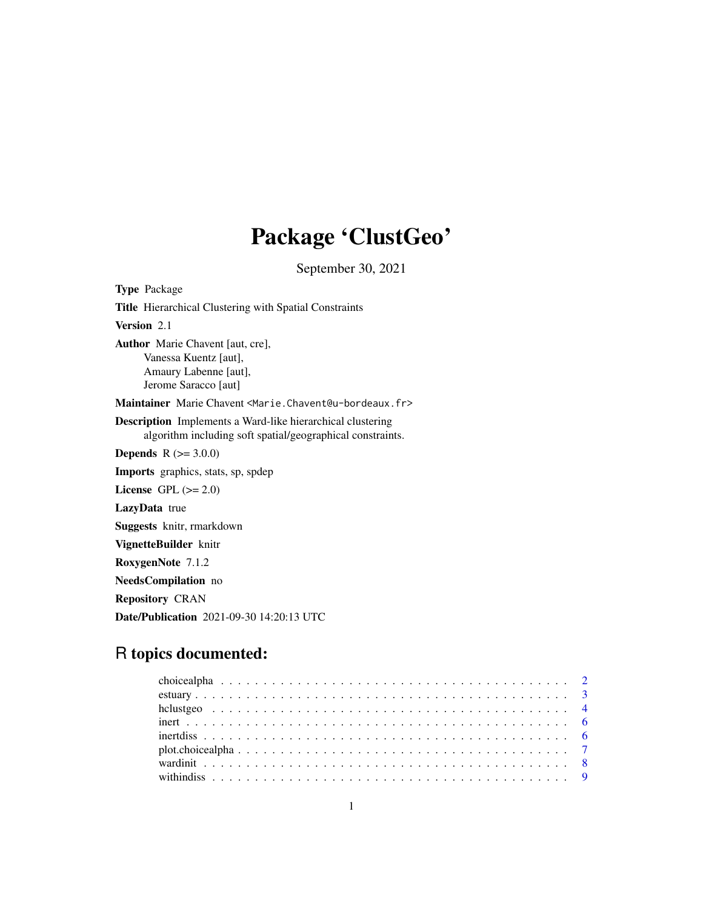## Package 'ClustGeo'

September 30, 2021

<span id="page-0-0"></span>Type Package Title Hierarchical Clustering with Spatial Constraints Version 2.1 Author Marie Chavent [aut, cre], Vanessa Kuentz [aut], Amaury Labenne [aut], Jerome Saracco [aut] Maintainer Marie Chavent <Marie.Chavent@u-bordeaux.fr> Description Implements a Ward-like hierarchical clustering algorithm including soft spatial/geographical constraints. **Depends**  $R (= 3.0.0)$ Imports graphics, stats, sp, spdep License GPL  $(>= 2.0)$ LazyData true Suggests knitr, rmarkdown VignetteBuilder knitr RoxygenNote 7.1.2 NeedsCompilation no

Repository CRAN

Date/Publication 2021-09-30 14:20:13 UTC

### R topics documented: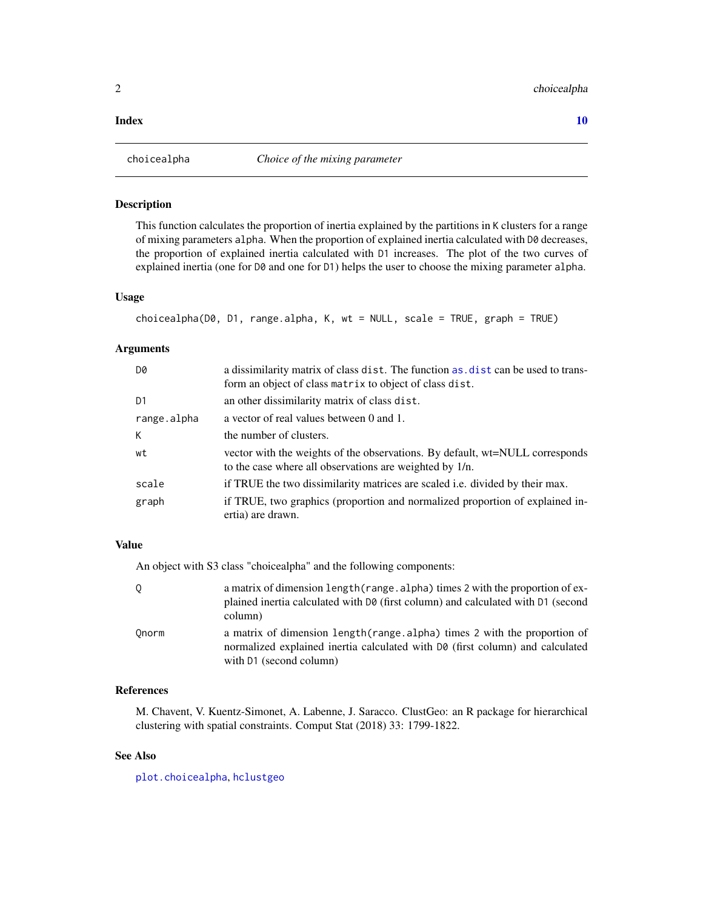#### <span id="page-1-0"></span> $\blacksquare$

<span id="page-1-1"></span>

#### Description

This function calculates the proportion of inertia explained by the partitions in K clusters for a range of mixing parameters alpha. When the proportion of explained inertia calculated with D0 decreases, the proportion of explained inertia calculated with D1 increases. The plot of the two curves of explained inertia (one for D0 and one for D1) helps the user to choose the mixing parameter alpha.

#### Usage

```
choicealpha(D0, D1, range.alpha, K, wt = NULL, scale = TRUE, graph = TRUE)
```
#### Arguments

| D0          | a dissimilarity matrix of class dist. The function as dist can be used to trans-<br>form an object of class matrix to object of class dist. |
|-------------|---------------------------------------------------------------------------------------------------------------------------------------------|
| D1          | an other dissimilarity matrix of class dist.                                                                                                |
| range.alpha | a vector of real values between 0 and 1.                                                                                                    |
| К           | the number of clusters.                                                                                                                     |
| wt          | vector with the weights of the observations. By default, wt=NULL corresponds<br>to the case where all observations are weighted by 1/n.     |
| scale       | if TRUE the two dissimilarity matrices are scaled <i>i.e.</i> divided by their max.                                                         |
| graph       | if TRUE, two graphics (proportion and normalized proportion of explained in-<br>ertia) are drawn.                                           |

#### Value

An object with S3 class "choicealpha" and the following components:

| 0     | a matrix of dimension length (range, alpha) times 2 with the proportion of ex-<br>plained inertia calculated with D0 (first column) and calculated with D1 (second<br>column)         |
|-------|---------------------------------------------------------------------------------------------------------------------------------------------------------------------------------------|
| Onorm | a matrix of dimension length (range alpha) times 2 with the proportion of<br>normalized explained inertia calculated with D0 (first column) and calculated<br>with D1 (second column) |

#### References

M. Chavent, V. Kuentz-Simonet, A. Labenne, J. Saracco. ClustGeo: an R package for hierarchical clustering with spatial constraints. Comput Stat (2018) 33: 1799-1822.

#### See Also

[plot.choicealpha](#page-6-1), [hclustgeo](#page-3-1)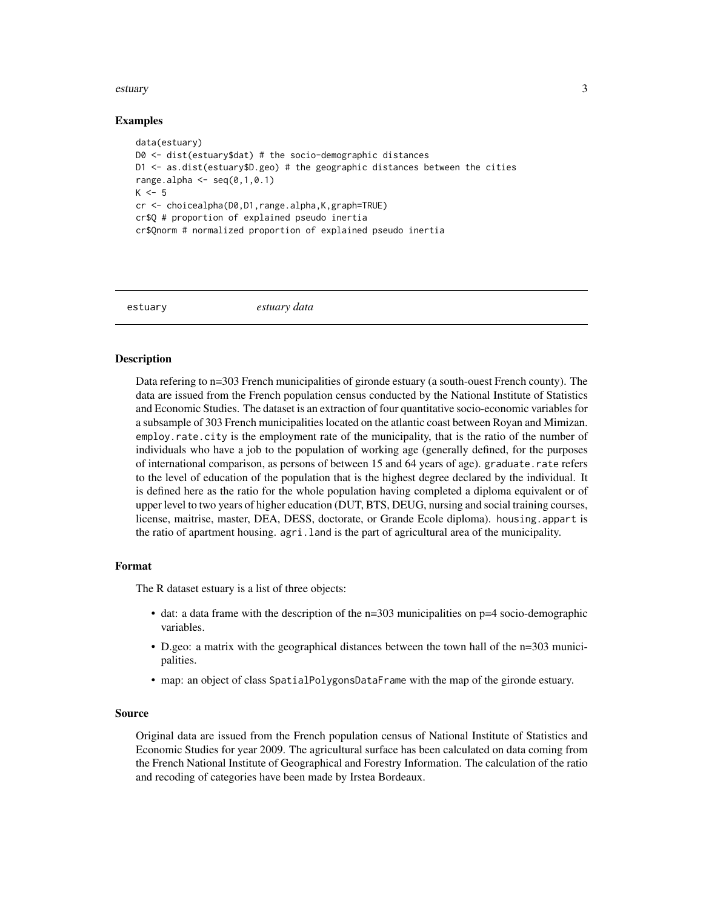#### <span id="page-2-0"></span>estuary 3

#### Examples

```
data(estuary)
D0 <- dist(estuary$dat) # the socio-demographic distances
D1 <- as.dist(estuary$D.geo) # the geographic distances between the cities
range.alpha \leq - seq(0,1,0.1)
K < -5cr <- choicealpha(D0,D1,range.alpha,K,graph=TRUE)
cr$Q # proportion of explained pseudo inertia
cr$Qnorm # normalized proportion of explained pseudo inertia
```
estuary *estuary data*

#### **Description**

Data refering to n=303 French municipalities of gironde estuary (a south-ouest French county). The data are issued from the French population census conducted by the National Institute of Statistics and Economic Studies. The dataset is an extraction of four quantitative socio-economic variables for a subsample of 303 French municipalities located on the atlantic coast between Royan and Mimizan. employ.rate.city is the employment rate of the municipality, that is the ratio of the number of individuals who have a job to the population of working age (generally defined, for the purposes of international comparison, as persons of between 15 and 64 years of age). graduate.rate refers to the level of education of the population that is the highest degree declared by the individual. It is defined here as the ratio for the whole population having completed a diploma equivalent or of upper level to two years of higher education (DUT, BTS, DEUG, nursing and social training courses, license, maitrise, master, DEA, DESS, doctorate, or Grande Ecole diploma). housing.appart is the ratio of apartment housing. agri.land is the part of agricultural area of the municipality.

#### Format

The R dataset estuary is a list of three objects:

- dat: a data frame with the description of the  $n=303$  municipalities on  $p=4$  socio-demographic variables.
- D.geo: a matrix with the geographical distances between the town hall of the n=303 municipalities.
- map: an object of class SpatialPolygonsDataFrame with the map of the gironde estuary.

#### Source

Original data are issued from the French population census of National Institute of Statistics and Economic Studies for year 2009. The agricultural surface has been calculated on data coming from the French National Institute of Geographical and Forestry Information. The calculation of the ratio and recoding of categories have been made by Irstea Bordeaux.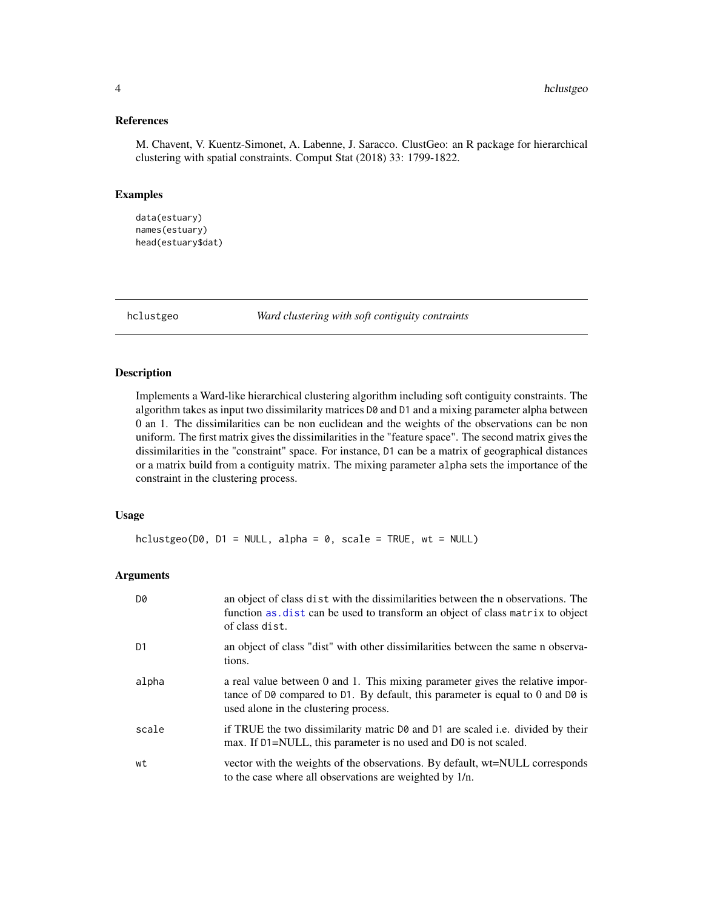#### <span id="page-3-0"></span>References

M. Chavent, V. Kuentz-Simonet, A. Labenne, J. Saracco. ClustGeo: an R package for hierarchical clustering with spatial constraints. Comput Stat (2018) 33: 1799-1822.

#### Examples

```
data(estuary)
names(estuary)
head(estuary$dat)
```
<span id="page-3-1"></span>hclustgeo *Ward clustering with soft contiguity contraints*

#### Description

Implements a Ward-like hierarchical clustering algorithm including soft contiguity constraints. The algorithm takes as input two dissimilarity matrices D0 and D1 and a mixing parameter alpha between 0 an 1. The dissimilarities can be non euclidean and the weights of the observations can be non uniform. The first matrix gives the dissimilarities in the "feature space". The second matrix gives the dissimilarities in the "constraint" space. For instance, D1 can be a matrix of geographical distances or a matrix build from a contiguity matrix. The mixing parameter alpha sets the importance of the constraint in the clustering process.

#### Usage

```
hclustgeo(D0, D1 = NULL, alpha = 0, scale = TRUE, wt = NULL)
```
#### Arguments

| D0    | an object of class dist with the dissimilarities between the n observations. The<br>function as dist can be used to transform an object of class matrix to object<br>of class dist.                      |
|-------|----------------------------------------------------------------------------------------------------------------------------------------------------------------------------------------------------------|
| D1    | an object of class "dist" with other dissimilarities between the same n observa-<br>tions.                                                                                                               |
| alpha | a real value between 0 and 1. This mixing parameter gives the relative impor-<br>tance of D0 compared to D1. By default, this parameter is equal to 0 and D0 is<br>used alone in the clustering process. |
| scale | if TRUE the two dissimilarity matric D0 and D1 are scaled i.e. divided by their<br>max. If D1=NULL, this parameter is no used and D0 is not scaled.                                                      |
| wt    | vector with the weights of the observations. By default, wt=NULL corresponds<br>to the case where all observations are weighted by 1/n.                                                                  |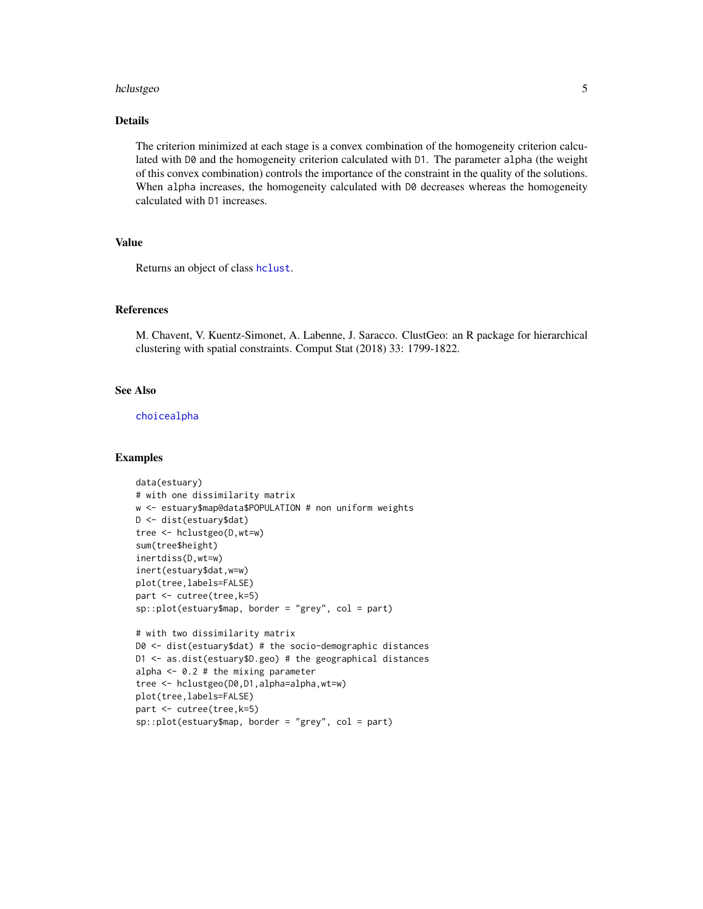#### <span id="page-4-0"></span>hclustgeo 5

#### Details

The criterion minimized at each stage is a convex combination of the homogeneity criterion calculated with D0 and the homogeneity criterion calculated with D1. The parameter alpha (the weight of this convex combination) controls the importance of the constraint in the quality of the solutions. When alpha increases, the homogeneity calculated with D0 decreases whereas the homogeneity calculated with D1 increases.

#### Value

Returns an object of class [hclust](#page-0-0).

#### References

M. Chavent, V. Kuentz-Simonet, A. Labenne, J. Saracco. ClustGeo: an R package for hierarchical clustering with spatial constraints. Comput Stat (2018) 33: 1799-1822.

#### See Also

[choicealpha](#page-1-1)

#### Examples

```
data(estuary)
# with one dissimilarity matrix
w <- estuary$map@data$POPULATION # non uniform weights
D <- dist(estuary$dat)
tree <- hclustgeo(D,wt=w)
sum(tree$height)
inertdiss(D,wt=w)
inert(estuary$dat,w=w)
plot(tree,labels=FALSE)
part <- cutree(tree,k=5)
sp::plot(estuary$map, border = "grey", col = part)
# with two dissimilarity matrix
D0 <- dist(estuary$dat) # the socio-demographic distances
D1 <- as.dist(estuary$D.geo) # the geographical distances
alpha \leq -0.2 # the mixing parameter
tree <- hclustgeo(D0,D1,alpha=alpha,wt=w)
plot(tree,labels=FALSE)
part <- cutree(tree,k=5)
sp::plot(estuary$map, border = "grey", col = part)
```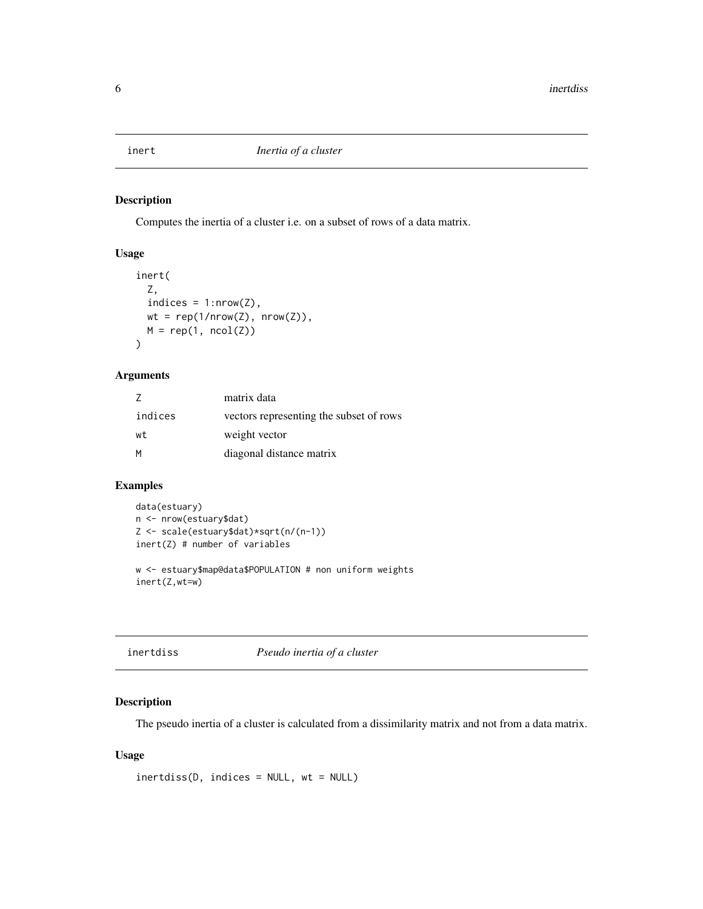<span id="page-5-0"></span>

#### Description

Computes the inertia of a cluster i.e. on a subset of rows of a data matrix.

#### Usage

```
inert(
 Z,
 indices = 1:nrow(Z),wt = rep(1/nrow(Z), nrow(Z)),M = rep(1, ncol(Z))\mathcal{E}
```
#### Arguments

|         | matrix data                             |
|---------|-----------------------------------------|
| indices | vectors representing the subset of rows |
| wt      | weight vector                           |
| M       | diagonal distance matrix                |

#### Examples

```
data(estuary)
n <- nrow(estuary$dat)
Z <- scale(estuary$dat)*sqrt(n/(n-1))
inert(Z) # number of variables
w <- estuary$map@data$POPULATION # non uniform weights
inert(Z,wt=w)
```
#### Description

The pseudo inertia of a cluster is calculated from a dissimilarity matrix and not from a data matrix.

#### Usage

```
inertdiss(D, indices = NULL, wt = NULL)
```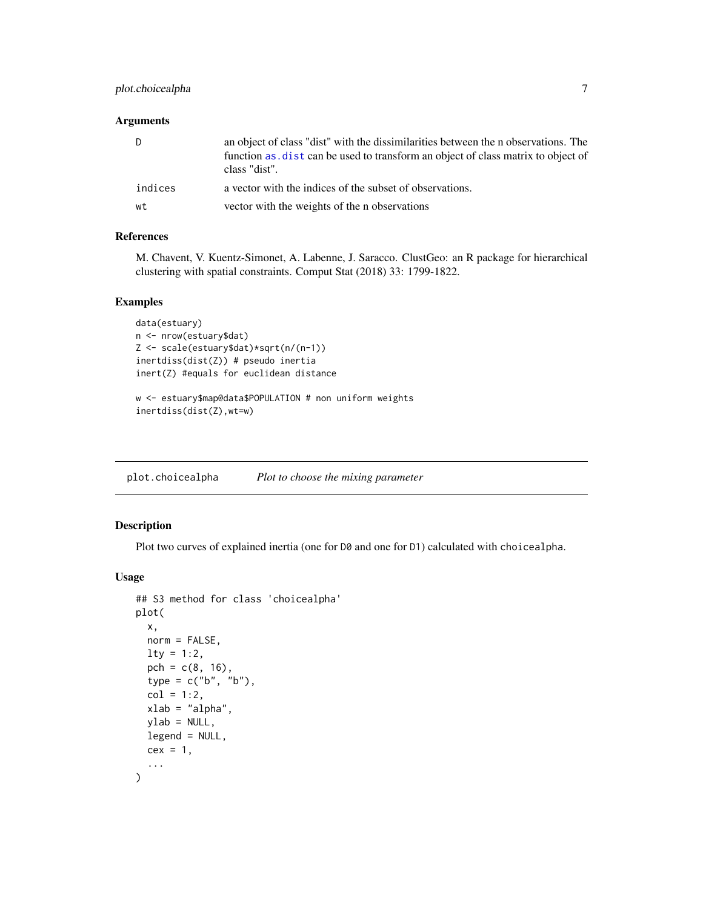#### <span id="page-6-0"></span>plot.choicealpha 7

#### Arguments

| D       | an object of class "dist" with the dissimilarities between the n observations. The<br>function as dist can be used to transform an object of class matrix to object of<br>class "dist". |
|---------|-----------------------------------------------------------------------------------------------------------------------------------------------------------------------------------------|
| indices | a vector with the indices of the subset of observations.                                                                                                                                |
| wt      | vector with the weights of the n observations                                                                                                                                           |

#### References

M. Chavent, V. Kuentz-Simonet, A. Labenne, J. Saracco. ClustGeo: an R package for hierarchical clustering with spatial constraints. Comput Stat (2018) 33: 1799-1822.

#### Examples

```
data(estuary)
n <- nrow(estuary$dat)
Z <- scale(estuary$dat)*sqrt(n/(n-1))
inertdiss(dist(Z)) # pseudo inertia
inert(Z) #equals for euclidean distance
w <- estuary$map@data$POPULATION # non uniform weights
```

```
inertdiss(dist(Z),wt=w)
```
<span id="page-6-1"></span>plot.choicealpha *Plot to choose the mixing parameter*

#### Description

Plot two curves of explained inertia (one for D0 and one for D1) calculated with choicealpha.

#### Usage

```
## S3 method for class 'choicealpha'
plot(
 x,
  norm = FALSE,
  lty = 1:2,pch = c(8, 16),
  type = c("b", "b"),
  col = 1:2,xlab = "alpha",
 ylab = NULL,
  legend = NULL,
  cex = 1,
  ...
)
```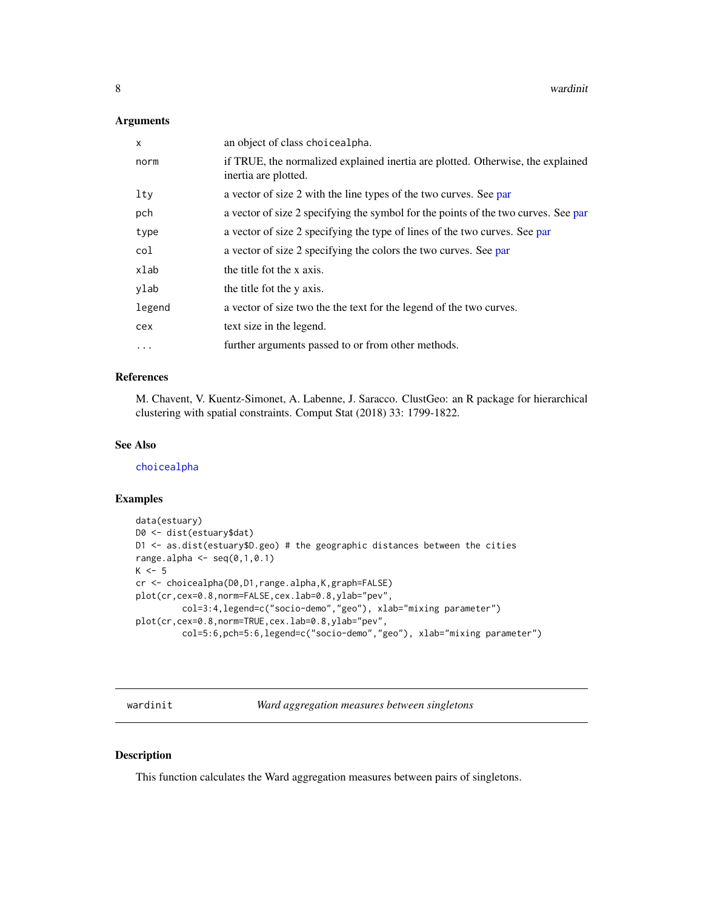#### <span id="page-7-0"></span>Arguments

| $\mathsf{x}$ | an object of class choicealpha.                                                                         |
|--------------|---------------------------------------------------------------------------------------------------------|
| norm         | if TRUE, the normalized explained inertia are plotted. Otherwise, the explained<br>inertia are plotted. |
| lty          | a vector of size 2 with the line types of the two curves. See par                                       |
| pch          | a vector of size 2 specifying the symbol for the points of the two curves. See par                      |
| type         | a vector of size 2 specifying the type of lines of the two curves. See par                              |
| col          | a vector of size 2 specifying the colors the two curves. See par                                        |
| xlab         | the title fot the x axis.                                                                               |
| ylab         | the title fot the y axis.                                                                               |
| legend       | a vector of size two the the text for the legend of the two curves.                                     |
| cex          | text size in the legend.                                                                                |
| $\cdots$     | further arguments passed to or from other methods.                                                      |

#### References

M. Chavent, V. Kuentz-Simonet, A. Labenne, J. Saracco. ClustGeo: an R package for hierarchical clustering with spatial constraints. Comput Stat (2018) 33: 1799-1822.

#### See Also

[choicealpha](#page-1-1)

#### Examples

```
data(estuary)
D0 <- dist(estuary$dat)
D1 <- as.dist(estuary$D.geo) # the geographic distances between the cities
range.alpha \leq seq(0,1,0.1)
K < -5cr <- choicealpha(D0,D1,range.alpha,K,graph=FALSE)
plot(cr,cex=0.8,norm=FALSE,cex.lab=0.8,ylab="pev",
        col=3:4,legend=c("socio-demo","geo"), xlab="mixing parameter")
plot(cr,cex=0.8,norm=TRUE,cex.lab=0.8,ylab="pev",
         col=5:6,pch=5:6,legend=c("socio-demo","geo"), xlab="mixing parameter")
```
wardinit *Ward aggregation measures between singletons*

#### Description

This function calculates the Ward aggregation measures between pairs of singletons.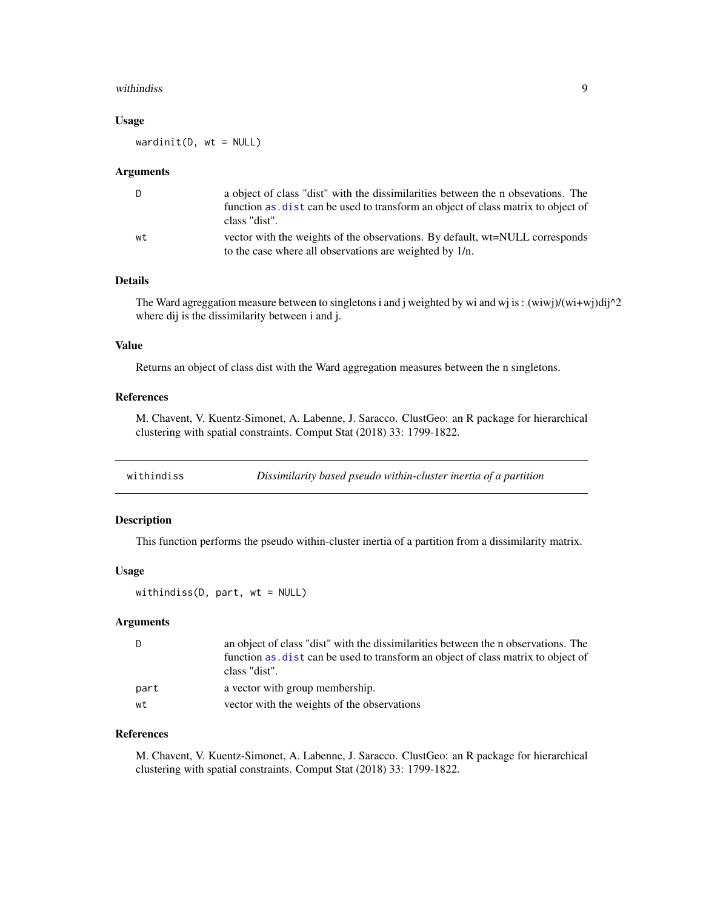#### <span id="page-8-0"></span>withindiss **9**

#### Usage

 $wardinit(D, wt = NULL)$ 

#### **Arguments**

| D  | a object of class "dist" with the dissimilarities between the n obsevations. The |
|----|----------------------------------------------------------------------------------|
|    | function as dist can be used to transform an object of class matrix to object of |
|    | class "dist".                                                                    |
| wt | vector with the weights of the observations. By default, wt=NULL corresponds     |
|    | to the case where all observations are weighted by 1/n.                          |

#### Details

The Ward agreggation measure between to singletons i and j weighted by wi and wj is: (wiwj)/(wi+wj)dij^2 where dij is the dissimilarity between i and j.

#### Value

Returns an object of class dist with the Ward aggregation measures between the n singletons.

#### References

M. Chavent, V. Kuentz-Simonet, A. Labenne, J. Saracco. ClustGeo: an R package for hierarchical clustering with spatial constraints. Comput Stat (2018) 33: 1799-1822.

withindiss *Dissimilarity based pseudo within-cluster inertia of a partition*

#### Description

This function performs the pseudo within-cluster inertia of a partition from a dissimilarity matrix.

#### Usage

```
withindiss(D, part, wt = NULL)
```
#### Arguments

| D    | an object of class "dist" with the dissimilarities between the n observations. The |
|------|------------------------------------------------------------------------------------|
|      | function as, dist can be used to transform an object of class matrix to object of  |
|      | class "dist".                                                                      |
| part | a vector with group membership.                                                    |
| wt   | vector with the weights of the observations                                        |

#### References

M. Chavent, V. Kuentz-Simonet, A. Labenne, J. Saracco. ClustGeo: an R package for hierarchical clustering with spatial constraints. Comput Stat (2018) 33: 1799-1822.